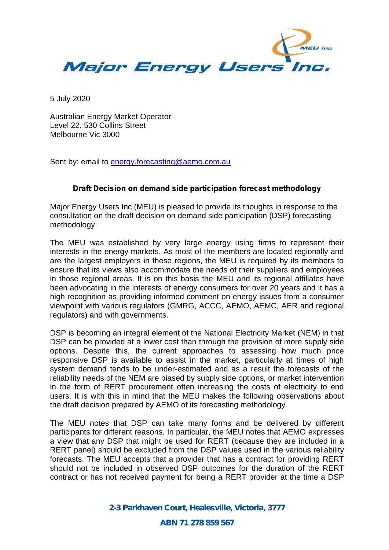

5 July 2020

Australian Energy Market Operator Level 22, 530 Collins Street Melbourne Vic 3000

Sent by: email to energy.forecasting@aemo.com.au

## **Draft Decision on demand side participation forecast methodology**

Major Energy Users Inc (MEU) is pleased to provide its thoughts in response to the consultation on the draft decision on demand side participation (DSP) forecasting methodology.

The MEU was established by very large energy using firms to represent their interests in the energy markets. As most of the members are located regionally and are the largest employers in these regions, the MEU is required by its members to ensure that its views also accommodate the needs of their suppliers and employees in those regional areas. It is on this basis the MEU and its regional affiliates have been advocating in the interests of energy consumers for over 20 years and it has a high recognition as providing informed comment on energy issues from a consumer viewpoint with various regulators (GMRG, ACCC, AEMO, AEMC, AER and regional regulators) and with governments.

DSP is becoming an integral element of the National Electricity Market (NEM) in that DSP can be provided at a lower cost than through the provision of more supply side options. Despite this, the current approaches to assessing how much price responsive DSP is available to assist in the market, particularly at times of high system demand tends to be under-estimated and as a result the forecasts of the reliability needs of the NEM are biased by supply side options, or market intervention in the form of RERT procurement often increasing the costs of electricity to end users. It is with this in mind that the MEU makes the following observations about the draft decision prepared by AEMO of its forecasting methodology.

The MEU notes that DSP can take many forms and be delivered by different participants for different reasons. In particular, the MEU notes that AEMO expresses a view that any DSP that might be used for RERT (because they are included in a RERT panel) should be excluded from the DSP values used in the various reliability forecasts. The MEU accepts that a provider that has a contract for providing RERT should not be included in observed DSP outcomes for the duration of the RERT contract or has not received payment for being a RERT provider at the time a DSP

*2-3 Parkhaven Court, Healesville, Victoria, 3777*

*ABN 71 278 859 567*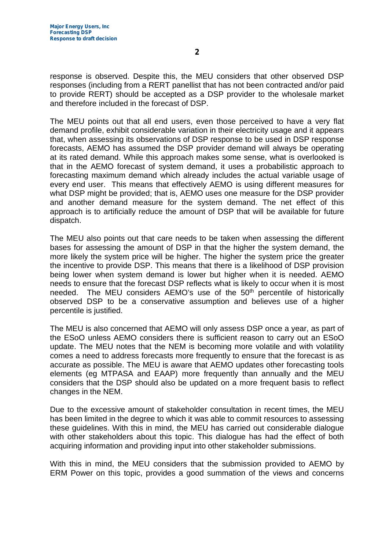response is observed. Despite this, the MEU considers that other observed DSP responses (including from a RERT panellist that has not been contracted and/or paid to provide RERT) should be accepted as a DSP provider to the wholesale market and therefore included in the forecast of DSP.

The MEU points out that all end users, even those perceived to have a very flat demand profile, exhibit considerable variation in their electricity usage and it appears that, when assessing its observations of DSP response to be used in DSP response forecasts, AEMO has assumed the DSP provider demand will always be operating at its rated demand. While this approach makes some sense, what is overlooked is that in the AEMO forecast of system demand, it uses a probabilistic approach to forecasting maximum demand which already includes the actual variable usage of every end user. This means that effectively AEMO is using different measures for what DSP might be provided; that is, AEMO uses one measure for the DSP provider and another demand measure for the system demand. The net effect of this approach is to artificially reduce the amount of DSP that will be available for future dispatch.

The MEU also points out that care needs to be taken when assessing the different bases for assessing the amount of DSP in that the higher the system demand, the more likely the system price will be higher. The higher the system price the greater the incentive to provide DSP. This means that there is a likelihood of DSP provision being lower when system demand is lower but higher when it is needed. AEMO needs to ensure that the forecast DSP reflects what is likely to occur when it is most needed. The MEU considers AEMO's use of the 50<sup>th</sup> percentile of historically observed DSP to be a conservative assumption and believes use of a higher percentile is justified.

The MEU is also concerned that AEMO will only assess DSP once a year, as part of the ESoO unless AEMO considers there is sufficient reason to carry out an ESoO update. The MEU notes that the NEM is becoming more volatile and with volatility comes a need to address forecasts more frequently to ensure that the forecast is as accurate as possible. The MEU is aware that AEMO updates other forecasting tools elements (eg MTPASA and EAAP) more frequently than annually and the MEU considers that the DSP should also be updated on a more frequent basis to reflect changes in the NEM.

Due to the excessive amount of stakeholder consultation in recent times, the MEU has been limited in the degree to which it was able to commit resources to assessing these guidelines. With this in mind, the MEU has carried out considerable dialogue with other stakeholders about this topic. This dialogue has had the effect of both acquiring information and providing input into other stakeholder submissions.

With this in mind, the MEU considers that the submission provided to AEMO by ERM Power on this topic, provides a good summation of the views and concerns